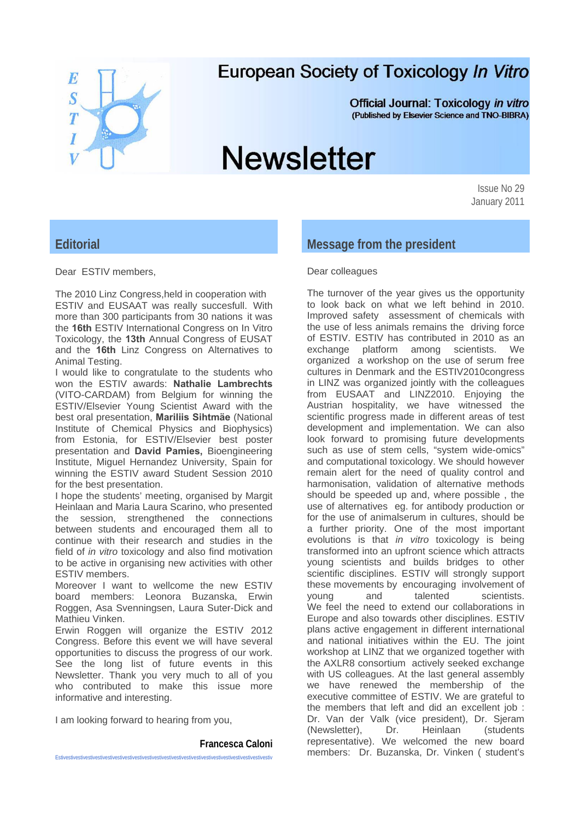

# **European Society of Toxicology In Vitro**

**Official Journal: Toxicology in vitro** (Published by Elsevier Science and TNO-BIBRA)

# **Newsletter**

Issue No 29 January 2011

# **Editorial**

Dear ESTIV members,

The 2010 Linz Congress,held in cooperation with ESTIV and EUSAAT was really succesfull. With more than 300 participants from 30 nations it was the **16th** ESTIV International Congress on In Vitro Toxicology, the **13th** Annual Congress of EUSAT and the **16th** Linz Congress on Alternatives to Animal Testing.

I would like to congratulate to the students who won the ESTIV awards: **Nathalie Lambrechts**  (VITO-CARDAM) from Belgium for winning the ESTIV/Elsevier Young Scientist Award with the best oral presentation, **Mariliis Sihtmäe** (National Institute of Chemical Physics and Biophysics) from Estonia, for ESTIV/Elsevier best poster presentation and **David Pamies,** Bioengineering Institute, Miguel Hernandez University, Spain for winning the ESTIV award Student Session 2010 for the best presentation.

I hope the students' meeting, organised by Margit Heinlaan and Maria Laura Scarino, who presented the session, strengthened the connections between students and encouraged them all to continue with their research and studies in the field of *in vitro* toxicology and also find motivation to be active in organising new activities with other ESTIV members.

Moreover I want to wellcome the new ESTIV board members: Leonora Buzanska, Erwin Roggen, Asa Svenningsen, Laura Suter-Dick and Mathieu Vinken.

Erwin Roggen will organize the ESTIV 2012 Congress. Before this event we will have several opportunities to discuss the progress of our work. See the long list of future events in this Newsletter. Thank you very much to all of you who contributed to make this issue more informative and interesting.

I am looking forward to hearing from you,

#### **Francesca Caloni**

Estivestivestivestivestivestivestivestivestivestivestivestivestivestivestivestivestivestivestivestivestivestiv

# **Message from the president**

#### Dear colleagues

The turnover of the year gives us the opportunity to look back on what we left behind in 2010. Improved safety assessment of chemicals with the use of less animals remains the driving force of ESTIV. ESTIV has contributed in 2010 as an exchange platform among scientists. We organized a workshop on the use of serum free cultures in Denmark and the ESTIV2010congress in LINZ was organized jointly with the colleagues from EUSAAT and LINZ2010. Enjoying the Austrian hospitality, we have witnessed the scientific progress made in different areas of test development and implementation. We can also look forward to promising future developments such as use of stem cells, "system wide-omics" and computational toxicology. We should however remain alert for the need of quality control and harmonisation, validation of alternative methods should be speeded up and, where possible , the use of alternatives eg. for antibody production or for the use of animalserum in cultures, should be a further priority. One of the most important evolutions is that *in vitro* toxicology is being transformed into an upfront science which attracts young scientists and builds bridges to other scientific disciplines. ESTIV will strongly support these movements by encouraging involvement of young and talented scientists. We feel the need to extend our collaborations in Europe and also towards other disciplines. ESTIV plans active engagement in different international and national initiatives within the EU. The joint workshop at LINZ that we organized together with the AXLR8 consortium actively seeked exchange with US colleagues. At the last general assembly we have renewed the membership of the executive committee of ESTIV. We are grateful to the members that left and did an excellent job : Dr. Van der Valk (vice president), Dr. Sjeram (Newsletter), Dr. Heinlaan (students representative). We welcomed the new board members: Dr. Buzanska, Dr. Vinken ( student's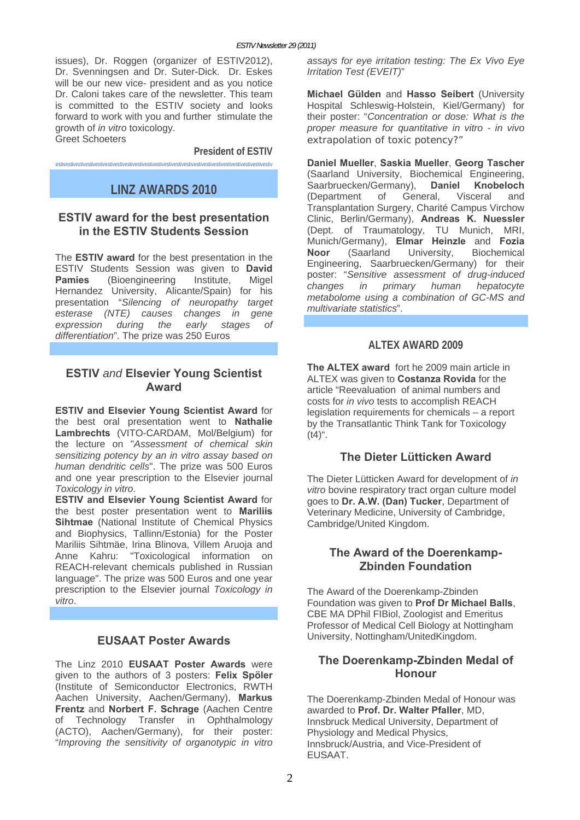issues), Dr. Roggen (organizer of ESTIV2012), Dr. Svenningsen and Dr. Suter-Dick. Dr. Eskes will be our new vice- president and as you notice Dr. Caloni takes care of the newsletter. This team is committed to the ESTIV society and looks forward to work with you and further stimulate the growth of *in vitro* toxicology. Greet Schoeters

**President of ESTIV**  estivestivestivestivestivestivestivestivestivestivestivestivestivestivestivestivestivestivestivestivestivestiv

# **LINZ AWARDS 2010**

# **ESTIV award for the best presentation in the ESTIV Students Session**

The **ESTIV award** for the best presentation in the ESTIV Students Session was given to **David Pamies** (Bioengineering Institute, Migel Hernandez University, Alicante/Spain) for his presentation "*Silencing of neuropathy target esterase (NTE) causes changes in gene expression during the early stages of differentiation*". The prize was 250 Euros

# **ESTIV** *and* **Elsevier Young Scientist Award**

**ESTIV and Elsevier Young Scientist Award** for the best oral presentation went to **Nathalie Lambrechts** (VITO-CARDAM, Mol/Belgium) for the lecture on "*Assessment of chemical skin sensitizing potency by an in vitro assay based on human dendritic cells*". The prize was 500 Euros and one year prescription to the Elsevier journal *Toxicology in vitro*.

**ESTIV and Elsevier Young Scientist Award** for the best poster presentation went to **Mariliis Sihtmae** (National Institute of Chemical Physics and Biophysics, Tallinn/Estonia) for the Poster Mariliis Sihtmäe, Irina Blinova, Villem Aruoja and Anne Kahru: "Toxicological information on REACH-relevant chemicals published in Russian language". The prize was 500 Euros and one year prescription to the Elsevier journal *Toxicology in vitro*.

# **EUSAAT Poster Awards**

The Linz 2010 **EUSAAT Poster Awards** were given to the authors of 3 posters: **Felix Spöler** (Institute of Semiconductor Electronics, RWTH Aachen University, Aachen/Germany), **Markus Frentz** and **Norbert F. Schrage** (Aachen Centre of Technology Transfer in Ophthalmology (ACTO), Aachen/Germany), for their poster: "*Improving the sensitivity of organotypic in vitro*  *assays for eye irritation testing: The Ex Vivo Eye Irritation Test (EVEIT)*"

**Michael Gülden** and **Hasso Seibert** (University Hospital Schleswig-Holstein, Kiel/Germany) for their poster: "*Concentration or dose: What is the proper measure for quantitative in vitro - in vivo extrapolation of toxic potency?*"

**Daniel Mueller**, **Saskia Mueller**, **Georg Tascher** (Saarland University, Biochemical Engineering, Saarbruecken/Germany), **Daniel Knobeloch** (Department of General, Visceral and Transplantation Surgery, Charité Campus Virchow Clinic, Berlin/Germany), **Andreas K. Nuessler** (Dept. of Traumatology, TU Munich, MRI, Munich/Germany), **Elmar Heinzle** and **Fozia Noor** (Saarland University, Biochemical Engineering, Saarbruecken/Germany) for their poster: "*Sensitive assessment of drug-induced changes in primary human hepatocyte metabolome using a combination of GC-MS and multivariate statistics*".

# **ALTEX AWARD 2009**

**The ALTEX award** fort he 2009 main article in ALTEX was given to **Costanza Rovida** for the article "Reevaluation of animal numbers and costs for *in vivo* tests to accomplish REACH legislation requirements for chemicals – a report by the Transatlantic Think Tank for Toxicology  $(t4)$ ".

# **The Dieter Lütticken Award**

The Dieter Lütticken Award for development of *in vitro* bovine respiratory tract organ culture model goes to **Dr. A.W. (Dan) Tucker**, Department of Veterinary Medicine, University of Cambridge, Cambridge/United Kingdom.

# **The Award of the Doerenkamp-Zbinden Foundation**

The Award of the Doerenkamp-Zbinden Foundation was given to **Prof Dr Michael Balls**, CBE MA DPhil FIBiol, Zoologist and Emeritus Professor of Medical Cell Biology at Nottingham University, Nottingham/UnitedKingdom.

# **The Doerenkamp-Zbinden Medal of Honour**

The Doerenkamp-Zbinden Medal of Honour was awarded to **Prof. Dr. Walter Pfaller**, MD, Innsbruck Medical University, Department of Physiology and Medical Physics, Innsbruck/Austria, and Vice-President of EUSAAT.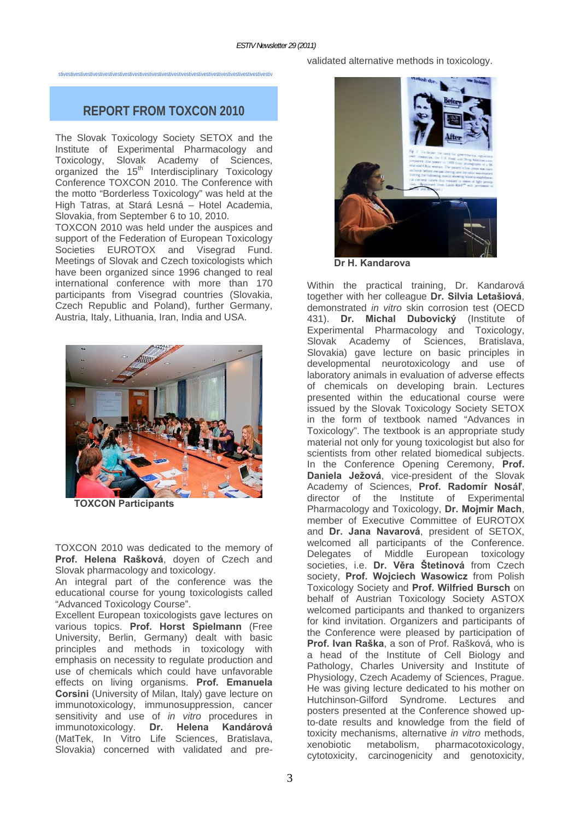stivestivestivestivestivestivestivestivestivestivestivestivestivestivestivestivestivestivestivestivestivestiv

# **REPORT FROM TOXCON 2010**

The Slovak Toxicology Society SETOX and the Institute of Experimental Pharmacology and Toxicology, Slovak Academy of Sciences, organized the  $15<sup>th</sup>$  Interdisciplinary Toxicology Conference TOXCON 2010. The Conference with the motto "Borderless Toxicology" was held at the High Tatras, at Stará Lesná – Hotel Academia, Slovakia, from September 6 to 10, 2010.

TOXCON 2010 was held under the auspices and support of the Federation of European Toxicology Societies EUROTOX and Visegrad Fund. Meetings of Slovak and Czech toxicologists which have been organized since 1996 changed to real international conference with more than 170 participants from Visegrad countries (Slovakia, Czech Republic and Poland), further Germany, Austria, Italy, Lithuania, Iran, India and USA.



 **TOXCON Participants** 

TOXCON 2010 was dedicated to the memory of **Prof. Helena Rašková**, doyen of Czech and Slovak pharmacology and toxicology.

An integral part of the conference was the educational course for young toxicologists called "Advanced Toxicology Course".

Excellent European toxicologists gave lectures on various topics. **Prof. Horst Spielmann** (Free University, Berlin, Germany) dealt with basic principles and methods in toxicology with emphasis on necessity to regulate production and use of chemicals which could have unfavorable effects on living organisms. **Prof. Emanuela Corsini** (University of Milan, Italy) gave lecture on immunotoxicology, immunosuppression, cancer sensitivity and use of *in vitro* procedures in immunotoxicology. **Dr. Helena Kandárová** (MatTek, In Vitro Life Sciences, Bratislava, Slovakia) concerned with validated and prevalidated alternative methods in toxicology.



 **Dr H. Kandarova** 

Within the practical training, Dr. Kandarová together with her colleague **Dr. Silvia Letašiová**, demonstrated *in vitro* skin corrosion test (OECD 431). **Dr. Michal Dubovický** (Institute of Experimental Pharmacology and Toxicology, Slovak Academy of Sciences, Bratislava, Slovakia) gave lecture on basic principles in developmental neurotoxicology and use of laboratory animals in evaluation of adverse effects of chemicals on developing brain. Lectures presented within the educational course were issued by the Slovak Toxicology Society SETOX in the form of textbook named "Advances in Toxicology". The textbook is an appropriate study material not only for young toxicologist but also for scientists from other related biomedical subjects. In the Conference Opening Ceremony, **Prof. Daniela Ježová**, vice-president of the Slovak Academy of Sciences, **Prof. Radomír Nosáľ**, director of the Institute of Experimental Pharmacology and Toxicology, **Dr. Mojmir Mach**, member of Executive Committee of EUROTOX and **Dr. Jana Navarová**, president of SETOX, welcomed all participants of the Conference. Delegates of Middle European toxicology societies, i.e. **Dr. Věra Štetinová** from Czech society, **Prof. Wojciech Wasowicz** from Polish Toxicology Society and **Prof. Wilfried Bursch** on behalf of Austrian Toxicology Society ASTOX welcomed participants and thanked to organizers for kind invitation. Organizers and participants of the Conference were pleased by participation of **Prof. Ivan Raška**, a son of Prof. Rašková, who is a head of the Institute of Cell Biology and Pathology, Charles University and Institute of Physiology, Czech Academy of Sciences, Prague. He was giving lecture dedicated to his mother on Hutchinson-Gilford Syndrome. Lectures and posters presented at the Conference showed upto-date results and knowledge from the field of toxicity mechanisms, alternative *in vitro* methods, xenobiotic metabolism, pharmacotoxicology, cytotoxicity, carcinogenicity and genotoxicity,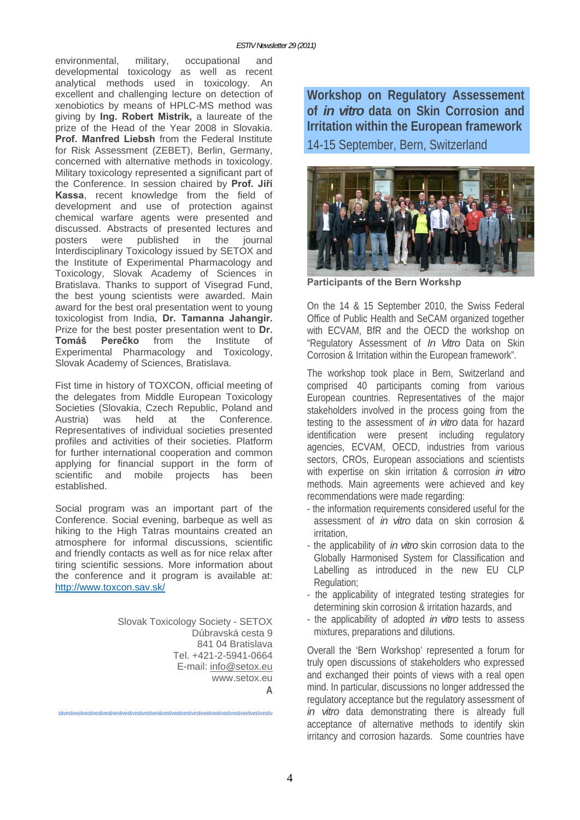environmental, military, occupational and developmental toxicology as well as recent analytical methods used in toxicology. An excellent and challenging lecture on detection of xenobiotics by means of HPLC-MS method was giving by **Ing. Robert Mistrik,** a laureate of the prize of the Head of the Year 2008 in Slovakia. **Prof. Manfred Liebsh** from the Federal Institute for Risk Assessment (ZEBET), Berlin, Germany, concerned with alternative methods in toxicology. Military toxicology represented a significant part of the Conference. In session chaired by **Prof. Jiří Kassa**, recent knowledge from the field of development and use of protection against chemical warfare agents were presented and discussed. Abstracts of presented lectures and posters were published in the journal Interdisciplinary Toxicology issued by SETOX and the Institute of Experimental Pharmacology and Toxicology, Slovak Academy of Sciences in Bratislava. Thanks to support of Visegrad Fund, the best young scientists were awarded. Main award for the best oral presentation went to young toxicologist from India, **Dr. Tamanna Jahangir.** Prize for the best poster presentation went to **Dr. Tomáš Perečko** from the Institute of Experimental Pharmacology and Toxicology, Slovak Academy of Sciences, Bratislava.

Fist time in history of TOXCON, official meeting of the delegates from Middle European Toxicology Societies (Slovakia, Czech Republic, Poland and Austria) was held at the Conference. Representatives of individual societies presented profiles and activities of their societies. Platform for further international cooperation and common applying for financial support in the form of scientific and mobile projects has been established.

Social program was an important part of the Conference. Social evening, barbeque as well as hiking to the High Tatras mountains created an atmosphere for informal discussions, scientific and friendly contacts as well as for nice relax after tiring scientific sessions. More information about the conference and it program is available at: http://www.toxcon.sav.sk/

stivestivestivestivestivestivestivestivestivestivestivestivestivestivestivestivestivestivestivestivestivestiv

Slovak Toxicology Society - SETOX Dúbravská cesta 9 841 04 Bratislava Tel. +421-2-5941-0664 E-mail: info@setox.eu www.setox.eu **A** 

**Workshop on Regulatory Assessement of** *in vitro* **data on Skin Corrosion and Irritation within the European framework**  14-15 September, Bern, Switzerland



**Participants of the Bern Workshp** 

On the 14 & 15 September 2010, the Swiss Federal Office of Public Health and SeCAM organized together with ECVAM, BfR and the OECD the workshop on "Regulatory Assessment of *In Vitro* Data on Skin Corrosion & Irritation within the European framework".

The workshop took place in Bern, Switzerland and comprised 40 participants coming from various European countries. Representatives of the major stakeholders involved in the process going from the testing to the assessment of *in vitro* data for hazard identification were present including regulatory agencies, ECVAM, OECD, industries from various sectors, CROs, European associations and scientists with expertise on skin irritation & corrosion *in vitro* methods. Main agreements were achieved and key recommendations were made regarding:

- the information requirements considered useful for the assessment of *in vitro* data on skin corrosion & **irritation**
- the applicability of *in vitro* skin corrosion data to the Globally Harmonised System for Classification and Labelling as introduced in the new EU CLP Regulation;
- the applicability of integrated testing strategies for determining skin corrosion & irritation hazards, and
- the applicability of adopted *in vitro* tests to assess mixtures, preparations and dilutions.

Overall the 'Bern Workshop' represented a forum for truly open discussions of stakeholders who expressed and exchanged their points of views with a real open mind. In particular, discussions no longer addressed the regulatory acceptance but the regulatory assessment of *in vitro* data demonstrating there is already full acceptance of alternative methods to identify skin irritancy and corrosion hazards. Some countries have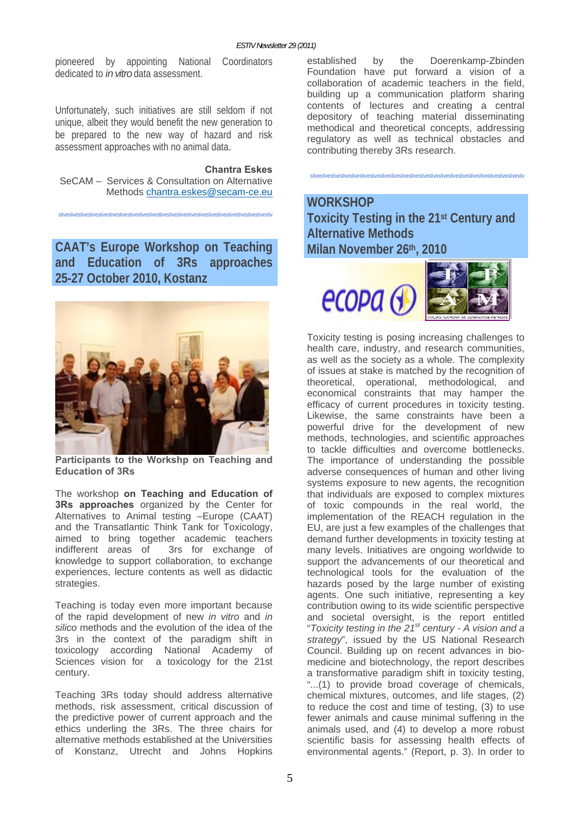pioneered by appointing National Coordinators dedicated to *in vitro* data assessment.

Unfortunately, such initiatives are still seldom if not unique, albeit they would benefit the new generation to be prepared to the new way of hazard and risk assessment approaches with no animal data.

#### **Chantra Eskes**

SeCAM – Services & Consultation on Alternative Methods chantra.eskes@secam-ce.eu

stivestivestivestivestivestivestivestivestivestivestivestivestivestivestivestivestivestivestivestivestivestiv

**CAAT's Europe Workshop on Teaching and Education of 3Rs approaches 25-27 October 2010, Kostanz** 



**Participants to the Workshp on Teaching and Education of 3Rs** 

The workshop **on Teaching and Education of 3Rs approaches** organized by the Center for Alternatives to Animal testing –Europe (CAAT) and the Transatlantic Think Tank for Toxicology, aimed to bring together academic teachers indifferent areas of 3rs for exchange of knowledge to support collaboration, to exchange experiences, lecture contents as well as didactic strategies.

Teaching is today even more important because of the rapid development of new *in vitro* and *in silico* methods and the evolution of the idea of the 3rs in the context of the paradigm shift in toxicology according National Academy of Sciences vision for a toxicology for the 21st century.

Teaching 3Rs today should address alternative methods, risk assessment, critical discussion of the predictive power of current approach and the ethics underling the 3Rs. The three chairs for alternative methods established at the Universities of Konstanz, Utrecht and Johns Hopkins established by the Doerenkamp-Zbinden Foundation have put forward a vision of a collaboration of academic teachers in the field, building up a communication platform sharing contents of lectures and creating a central depository of teaching material disseminating methodical and theoretical concepts, addressing regulatory as well as technical obstacles and contributing thereby 3Rs research.

stivestivestivestivestivestivestivestivestivestivestivestivestivestivestivestivestivestivestivestivestivestiv

# **WORKSHOP**

**Toxicity Testing in the 21st Century and Alternative Methods Milan November 26th, 2010** 



Toxicity testing is posing increasing challenges to health care, industry, and research communities, as well as the society as a whole. The complexity of issues at stake is matched by the recognition of theoretical, operational, methodological, and economical constraints that may hamper the efficacy of current procedures in toxicity testing. Likewise, the same constraints have been a powerful drive for the development of new methods, technologies, and scientific approaches to tackle difficulties and overcome bottlenecks. The importance of understanding the possible adverse consequences of human and other living systems exposure to new agents, the recognition that individuals are exposed to complex mixtures of toxic compounds in the real world, the implementation of the REACH regulation in the EU, are just a few examples of the challenges that demand further developments in toxicity testing at many levels. Initiatives are ongoing worldwide to support the advancements of our theoretical and technological tools for the evaluation of the hazards posed by the large number of existing agents. One such initiative, representing a key contribution owing to its wide scientific perspective and societal oversight, is the report entitled "*Toxicity testing in the 21st century - A vision and a strategy*", issued by the US National Research Council. Building up on recent advances in biomedicine and biotechnology, the report describes a transformative paradigm shift in toxicity testing, "...(1) to provide broad coverage of chemicals, chemical mixtures, outcomes, and life stages, (2) to reduce the cost and time of testing, (3) to use fewer animals and cause minimal suffering in the animals used, and (4) to develop a more robust scientific basis for assessing health effects of environmental agents." (Report, p. 3). In order to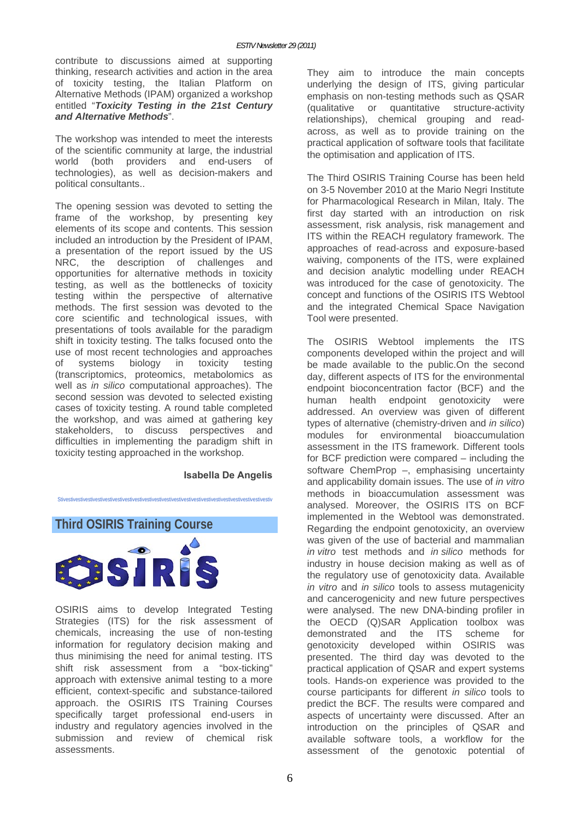contribute to discussions aimed at supporting thinking, research activities and action in the area of toxicity testing, the Italian Platform on Alternative Methods (IPAM) organized a workshop entitled "*Toxicity Testing in the 21st Century and Alternative Methods*".

The workshop was intended to meet the interests of the scientific community at large, the industrial world (both providers and end-users of technologies), as well as decision-makers and political consultants..

The opening session was devoted to setting the frame of the workshop, by presenting key elements of its scope and contents. This session included an introduction by the President of IPAM, a presentation of the report issued by the US NRC, the description of challenges and opportunities for alternative methods in toxicity testing, as well as the bottlenecks of toxicity testing within the perspective of alternative methods. The first session was devoted to the core scientific and technological issues, with presentations of tools available for the paradigm shift in toxicity testing. The talks focused onto the use of most recent technologies and approaches of systems biology in toxicity testing (transcriptomics, proteomics, metabolomics as well as *in silico* computational approaches). The second session was devoted to selected existing cases of toxicity testing. A round table completed the workshop, and was aimed at gathering key stakeholders, to discuss perspectives and difficulties in implementing the paradigm shift in toxicity testing approached in the workshop.

#### **Isabella De Angelis**

Stivestivestivestivestivestivestivestivestivestivestivestivestivestivestivestivestivestivestivestivestivestiv

**Third OSIRIS Training Course** 



OSIRIS aims to develop Integrated Testing Strategies (ITS) for the risk assessment of chemicals, increasing the use of non-testing information for regulatory decision making and thus minimising the need for animal testing. ITS shift risk assessment from a "box-ticking" approach with extensive animal testing to a more efficient, context-specific and substance-tailored approach. the OSIRIS ITS Training Courses specifically target professional end-users in industry and regulatory agencies involved in the submission and review of chemical risk assessments.

They aim to introduce the main concepts underlying the design of ITS, giving particular emphasis on non-testing methods such as QSAR (qualitative or quantitative structure-activity relationships), chemical grouping and readacross, as well as to provide training on the practical application of software tools that facilitate the optimisation and application of ITS.

The Third OSIRIS Training Course has been held on 3-5 November 2010 at the Mario Negri Institute for Pharmacological Research in Milan, Italy. The first day started with an introduction on risk assessment, risk analysis, risk management and ITS within the REACH regulatory framework. The approaches of read-across and exposure-based waiving, components of the ITS, were explained and decision analytic modelling under REACH was introduced for the case of genotoxicity. The concept and functions of the OSIRIS ITS Webtool and the integrated Chemical Space Navigation Tool were presented.

The OSIRIS Webtool implements the ITS components developed within the project and will be made available to the public.On the second day, different aspects of ITS for the environmental endpoint bioconcentration factor (BCF) and the human health endpoint genotoxicity were addressed. An overview was given of different types of alternative (chemistry-driven and *in silico*) modules for environmental bioaccumulation assessment in the ITS framework. Different tools for BCF prediction were compared – including the software ChemProp –, emphasising uncertainty and applicability domain issues. The use of *in vitro* methods in bioaccumulation assessment was analysed. Moreover, the OSIRIS ITS on BCF implemented in the Webtool was demonstrated. Regarding the endpoint genotoxicity, an overview was given of the use of bacterial and mammalian *in vitro* test methods and *in silico* methods for industry in house decision making as well as of the regulatory use of genotoxicity data. Available *in vitro* and *in silico* tools to assess mutagenicity and cancerogenicity and new future perspectives were analysed. The new DNA-binding profiler in the OECD (Q)SAR Application toolbox was demonstrated and the ITS scheme for genotoxicity developed within OSIRIS was presented. The third day was devoted to the practical application of QSAR and expert systems tools. Hands-on experience was provided to the course participants for different *in silico* tools to predict the BCF. The results were compared and aspects of uncertainty were discussed. After an introduction on the principles of QSAR and available software tools, a workflow for the assessment of the genotoxic potential of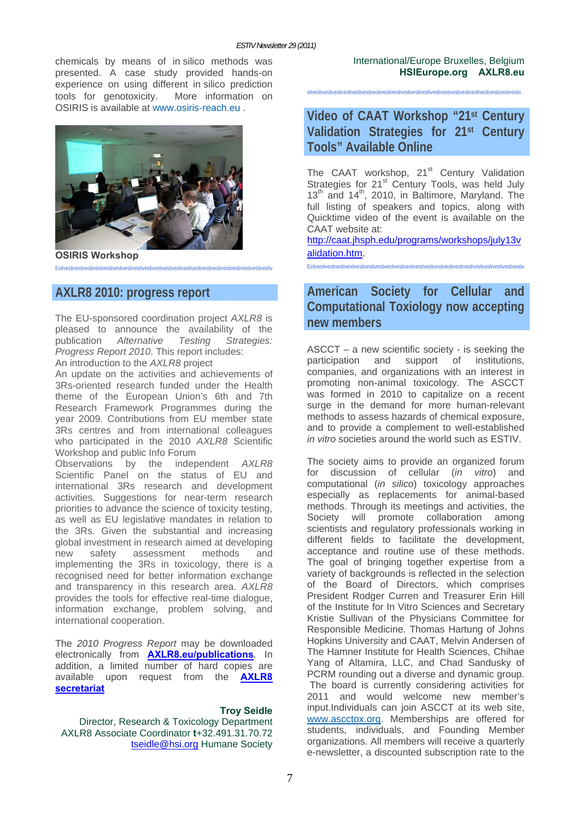chemicals by means of in silico methods was presented. A case study provided hands-on experience on using different in silico prediction tools for genotoxicity. More information on OSIRIS is available at www.osiris-reach.eu .



**OSIRIS Workshop** 

Estivestivestivestivestivestivestivestivestivestivestivestivestivestivestivestivestivestivestivestivestivestiv

# **AXLR8 2010: progress report**

The EU-sponsored coordination project *AXLR8* is pleased to announce the availability of the publication *Alternative Testing Strategies: Progress Report 2010*. This report includes: An introduction to the *AXLR8* project

An update on the activities and achievements of 3Rs-oriented research funded under the Health theme of the European Union's 6th and 7th Research Framework Programmes during the year 2009. Contributions from EU member state 3Rs centres and from international colleagues who participated in the 2010 *AXLR8* Scientific Workshop and public Info Forum

Observations by the independent *AXLR8*  Scientific Panel on the status of EU and international 3Rs research and development activities. Suggestions for near-term research priorities to advance the science of toxicity testing, as well as EU legislative mandates in relation to the 3Rs. Given the substantial and increasing global investment in research aimed at developing new safety assessment methods and implementing the 3Rs in toxicology, there is a recognised need for better information exchange and transparency in this research area. *AXLR8* provides the tools for effective real-time dialogue, information exchange, problem solving, and international cooperation.

The *2010 Progress Report* may be downloaded electronically from **AXLR8.eu/publications***.* In addition, a limited number of hard copies are available upon request from the **AXLR8 secretariat**

**Troy Seidle**  Director, Research & Toxicology Department AXLR8 Associate Coordinator **t**+32.491.31.70.72 tseidle@hsi.org Humane Society International/Europe Bruxelles, Belgium **HSIEurope.org AXLR8.eu**

stivestivestivestivestivestivestivestivestivestivestivestivestivestivestivestivestivestivestivestivestivestiv

# **Video of CAAT Workshop "21st Century Validation Strategies for 21st Century Tools" Available Online**

The CAAT workshop, 21<sup>st</sup> Century Validation Strategies for 21<sup>st</sup> Century Tools, was held July 13<sup>th</sup> and 14<sup>th</sup>, 2010, in Baltimore, Maryland. The full listing of speakers and topics, along with Quicktime video of the event is available on the CAAT website at:

http://caat.jhsph.edu/programs/workshops/july13v alidation.htm.

Estivestivestivestivestivestivestivestivestivestivestivestivestivestivestivestivestivestivestivestivestivestiv

# **American Society for Cellular and Computational Toxiology now accepting new members**

ASCCT – a new scientific society - is seeking the participation and support of institutions, companies, and organizations with an interest in promoting non-animal toxicology. The ASCCT was formed in 2010 to capitalize on a recent surge in the demand for more human-relevant methods to assess hazards of chemical exposure, and to provide a complement to well-established *in vitro* societies around the world such as ESTIV.

The society aims to provide an organized forum for discussion of cellular (*in vitro*) and computational (*in silico*) toxicology approaches especially as replacements for animal-based methods. Through its meetings and activities, the Society will promote collaboration among scientists and regulatory professionals working in different fields to facilitate the development, acceptance and routine use of these methods. The goal of bringing together expertise from a variety of backgrounds is reflected in the selection of the Board of Directors, which comprises President Rodger Curren and Treasurer Erin Hill of the Institute for In Vitro Sciences and Secretary Kristie Sullivan of the Physicians Committee for Responsible Medicine. Thomas Hartung of Johns Hopkins University and CAAT, Melvin Andersen of The Hamner Institute for Health Sciences, Chihae Yang of Altamira, LLC, and Chad Sandusky of PCRM rounding out a diverse and dynamic group. The board is currently considering activities for 2011 and would welcome new member's input.Individuals can join ASCCT at its web site, www.ascctox.org. Memberships are offered for students, individuals, and Founding Member organizations. All members will receive a quarterly e-newsletter, a discounted subscription rate to the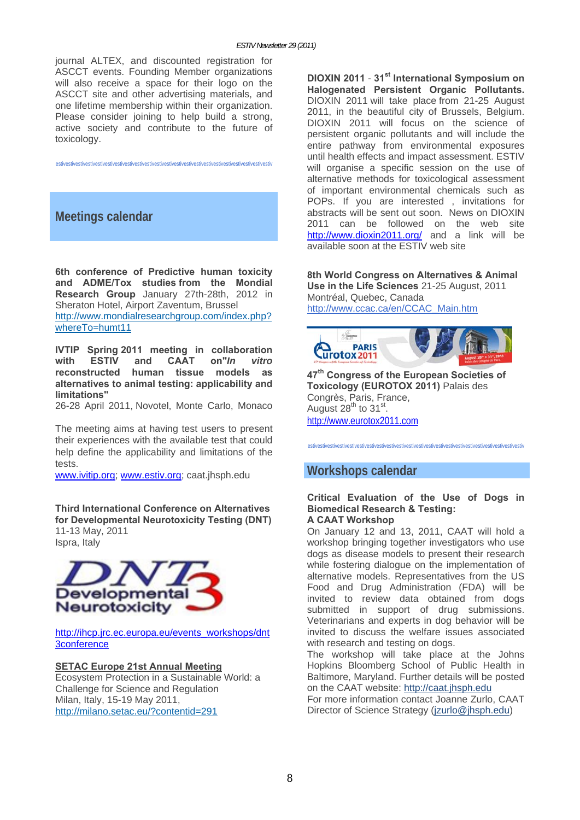journal ALTEX, and discounted registration for ASCCT events. Founding Member organizations will also receive a space for their logo on the ASCCT site and other advertising materials, and one lifetime membership within their organization. Please consider joining to help build a strong, active society and contribute to the future of toxicology.

estivestivestivestivestivestivestivestivestivestivestivestivestivestivestivestivestivestivestivestivestivestiv

# **Meetings calendar**

**6th conference of Predictive human toxicity and ADME/Tox studies from the Mondial Research Group** January 27th-28th, 2012 in Sheraton Hotel, Airport Zaventum, Brussel http://www.mondialresearchgroup.com/index.php? whereTo=humt11

**IVTIP Spring 2011 meeting in collaboration with ESTIV and CAAT on"***In vitro* **reconstructed human tissue models as alternatives to animal testing: applicability and limitations"**

26-28 April 2011, Novotel, Monte Carlo, Monaco

The meeting aims at having test users to present their experiences with the available test that could help define the applicability and limitations of the tests.

www.ivitip.org; www.estiv.org; caat.jhsph.edu

**Third International Conference on Alternatives for Developmental Neurotoxicity Testing (DNT)**  11-13 May, 2011 Ispra, Italy



http://ihcp.jrc.ec.europa.eu/events\_workshops/dnt 3conference

#### **SETAC Europe 21st Annual Meeting**

Ecosystem Protection in a Sustainable World: a Challenge for Science and Regulation Milan, Italy, 15-19 May 2011, http://milano.setac.eu/?contentid=291

**DIOXIN 2011** - **31st International Symposium on Halogenated Persistent Organic Pollutants.** DIOXIN 2011 will take place from 21-25 August 2011, in the beautiful city of Brussels, Belgium. DIOXIN 2011 will focus on the science of persistent organic pollutants and will include the entire pathway from environmental exposures until health effects and impact assessment. ESTIV will organise a specific session on the use of alternative methods for toxicological assessment of important environmental chemicals such as POPs. If you are interested , invitations for abstracts will be sent out soon. News on DIOXIN 2011 can be followed on the web site http://www.dioxin2011.org/ and a link will be available soon at the ESTIV web site

**8th World Congress on Alternatives & Animal Use in the Life Sciences** 21-25 August, 2011 Montréal, Quebec, Canada http://www.ccac.ca/en/CCAC\_Main.htm



**47th Congress of the European Societies of Toxicology (EUROTOX 2011)** Palais des Congrès, Paris, France, August  $28<sup>th</sup>$  to  $31<sup>st</sup>$ . http://www.eurotox2011.com

# **Workshops calendar**

#### **Critical Evaluation of the Use of Dogs in Biomedical Research & Testing: A CAAT Workshop**

estivestivestivestivestivestivestivestivestivestivestivestivestivestivestivestivestivestivestivestivestivestiv

On January 12 and 13, 2011, CAAT will hold a workshop bringing together investigators who use dogs as disease models to present their research while fostering dialogue on the implementation of alternative models. Representatives from the US Food and Drug Administration (FDA) will be invited to review data obtained from dogs submitted in support of drug submissions. Veterinarians and experts in dog behavior will be invited to discuss the welfare issues associated with research and testing on dogs.

The workshop will take place at the Johns Hopkins Bloomberg School of Public Health in Baltimore, Maryland. Further details will be posted on the CAAT website: http://caat.jhsph.edu

For more information contact Joanne Zurlo, CAAT Director of Science Strategy (jzurlo@jhsph.edu)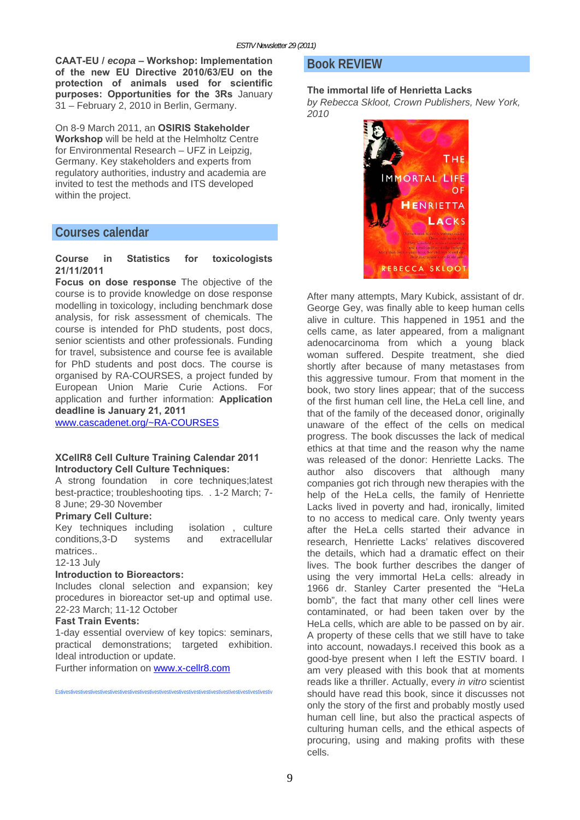**CAAT-EU /** *ecopa* **– Workshop: Implementation of the new EU Directive 2010/63/EU on the protection of animals used for scientific purposes: Opportunities for the 3Rs** January 31 – February 2, 2010 in Berlin, Germany.

On 8-9 March 2011, an **OSIRIS Stakeholder Workshop** will be held at the Helmholtz Centre for Environmental Research – UFZ in Leipzig, Germany. Key stakeholders and experts from regulatory authorities, industry and academia are invited to test the methods and ITS developed within the project.

# **Courses calendar**

#### **Course in Statistics for toxicologists 21/11/2011**

**Focus on dose response** The objective of the course is to provide knowledge on dose response modelling in toxicology, including benchmark dose analysis, for risk assessment of chemicals. The course is intended for PhD students, post docs, senior scientists and other professionals. Funding for travel, subsistence and course fee is available for PhD students and post docs. The course is organised by RA-COURSES, a project funded by European Union Marie Curie Actions. For application and further information: **Application deadline is January 21, 2011**

www.cascadenet.org/~RA-COURSES

#### **XCellR8 Cell Culture Training Calendar 2011 Introductory Cell Culture Techniques:**

A strong foundation in core techniques;latest best-practice; troubleshooting tips. . 1-2 March; 7- 8 June; 29-30 November

#### **Primary Cell Culture:**

Key techniques including isolation , culture conditions,3-D systems and extracellular matrices..

12-13 July

#### **Introduction to Bioreactors:**

Includes clonal selection and expansion; key procedures in bioreactor set-up and optimal use. 22-23 March; 11-12 October

#### **Fast Train Events:**

1-day essential overview of key topics: seminars, practical demonstrations; targeted exhibition. Ideal introduction or update.

Further information on www.x-cellr8.com

#### Estivestivestivestivestivestivestivestivestivestivestivestivestivestivestivestivestivestivestivestivestivestiv

### **Book REVIEW**

#### **The immortal life of Henrietta Lacks**

*by Rebecca Skloot, Crown Publishers, New York, 2010* 



After many attempts, Mary Kubick, assistant of dr. George Gey, was finally able to keep human cells alive in culture. This happened in 1951 and the cells came, as later appeared, from a malignant adenocarcinoma from which a young black woman suffered. Despite treatment, she died shortly after because of many metastases from this aggressive tumour. From that moment in the book, two story lines appear; that of the success of the first human cell line, the HeLa cell line, and that of the family of the deceased donor, originally unaware of the effect of the cells on medical progress. The book discusses the lack of medical ethics at that time and the reason why the name was released of the donor: Henriette Lacks. The author also discovers that although many companies got rich through new therapies with the help of the HeLa cells, the family of Henriette Lacks lived in poverty and had, ironically, limited to no access to medical care. Only twenty years after the HeLa cells started their advance in research, Henriette Lacks' relatives discovered the details, which had a dramatic effect on their lives. The book further describes the danger of using the very immortal HeLa cells: already in 1966 dr. Stanley Carter presented the "HeLa bomb", the fact that many other cell lines were contaminated, or had been taken over by the HeLa cells, which are able to be passed on by air. A property of these cells that we still have to take into account, nowadays.I received this book as a good-bye present when I left the ESTIV board. I am very pleased with this book that at moments reads like a thriller. Actually, every *in vitro* scientist should have read this book, since it discusses not only the story of the first and probably mostly used human cell line, but also the practical aspects of culturing human cells, and the ethical aspects of procuring, using and making profits with these cells.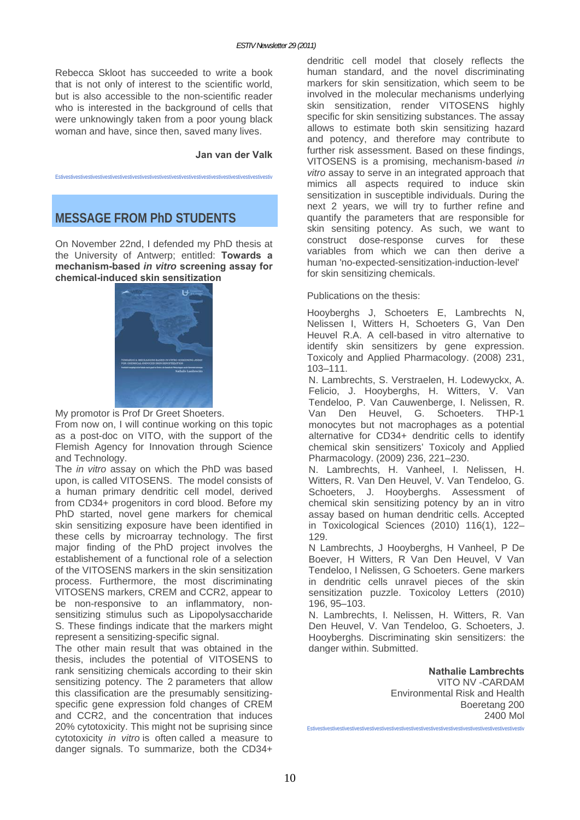Rebecca Skloot has succeeded to write a book that is not only of interest to the scientific world, but is also accessible to the non-scientific reader who is interested in the background of cells that were unknowingly taken from a poor young black woman and have, since then, saved many lives.

#### **Jan van der Valk**

Estivestivestivestivestivestivestivestivestivestivestivestivestivestivestivestivestivestivestivestivestivestiv

# **MESSAGE FROM PhD STUDENTS**

On November 22nd, I defended my PhD thesis at the University of Antwerp; entitled: **Towards a mechanism-based** *in vitro* **screening assay for chemical-induced skin sensitization** 



My promotor is Prof Dr Greet Shoeters.

From now on, I will continue working on this topic as a post-doc on VITO, with the support of the Flemish Agency for Innovation through Science and Technology.

The *in vitro* assay on which the PhD was based upon, is called VITOSENS. The model consists of a human primary dendritic cell model, derived from CD34+ progenitors in cord blood. Before my PhD started, novel gene markers for chemical skin sensitizing exposure have been identified in these cells by microarray technology. The first major finding of the PhD project involves the establishement of a functional role of a selection of the VITOSENS markers in the skin sensitization process. Furthermore, the most discriminating VITOSENS markers, CREM and CCR2, appear to be non-responsive to an inflammatory, nonsensitizing stimulus such as Lipopolysaccharide S. These findings indicate that the markers might represent a sensitizing-specific signal.

The other main result that was obtained in the thesis, includes the potential of VITOSENS to rank sensitizing chemicals according to their skin sensitizing potency. The 2 parameters that allow this classification are the presumably sensitizingspecific gene expression fold changes of CREM and CCR2, and the concentration that induces 20% cytotoxicity. This might not be suprising since cytotoxicity *in vitro* is often called a measure to danger signals. To summarize, both the CD34+

dendritic cell model that closely reflects the human standard, and the novel discriminating markers for skin sensitization, which seem to be involved in the molecular mechanisms underlying skin sensitization, render VITOSENS highly specific for skin sensitizing substances. The assay allows to estimate both skin sensitizing hazard and potency, and therefore may contribute to further risk assessment. Based on these findings, VITOSENS is a promising, mechanism-based *in vitro* assay to serve in an integrated approach that mimics all aspects required to induce skin sensitization in susceptible individuals. During the next 2 years, we will try to further refine and quantify the parameters that are responsible for skin sensiting potency. As such, we want to construct dose-response curves for these variables from which we can then derive a human 'no-expected-sensitization-induction-level' for skin sensitizing chemicals.

#### Publications on the thesis:

Hooyberghs J, Schoeters E, Lambrechts N, Nelissen I, Witters H, Schoeters G, Van Den Heuvel R.A. A cell-based in vitro alternative to identify skin sensitizers by gene expression. Toxicoly and Applied Pharmacology. (2008) 231, 103–111.

N. Lambrechts, S. Verstraelen, H. Lodewyckx, A. Felicio, J. Hooyberghs, H. Witters, V. Van Tendeloo, P. Van Cauwenberge, I. Nelissen, R. Van Den Heuvel, G. Schoeters. THP-1 monocytes but not macrophages as a potential alternative for CD34+ dendritic cells to identify chemical skin sensitizers' Toxicoly and Applied Pharmacology. (2009) 236, 221–230.

N. Lambrechts, H. Vanheel, I. Nelissen, H. Witters, R. Van Den Heuvel, V. Van Tendeloo, G. Schoeters, J. Hooyberghs. Assessment of chemical skin sensitizing potency by an in vitro assay based on human dendritic cells. Accepted in Toxicological Sciences (2010) 116(1), 122– 129.

N Lambrechts, J Hooyberghs, H Vanheel, P De Boever, H Witters, R Van Den Heuvel, V Van Tendeloo, I Nelissen, G Schoeters. Gene markers in dendritic cells unravel pieces of the skin sensitization puzzle. Toxicoloy Letters (2010) 196, 95–103.

N. Lambrechts, I. Nelissen, H. Witters, R. Van Den Heuvel, V. Van Tendeloo, G. Schoeters, J. Hooyberghs. Discriminating skin sensitizers: the danger within. Submitted.

**Nathalie Lambrechts**  VITO NV -CARDAM Environmental Risk and Health Boeretang 200 2400 Mol Estivestivestivestivestivestivestivestivestivestivestivestivestivestivestivestivestivestivestivestivestivestiv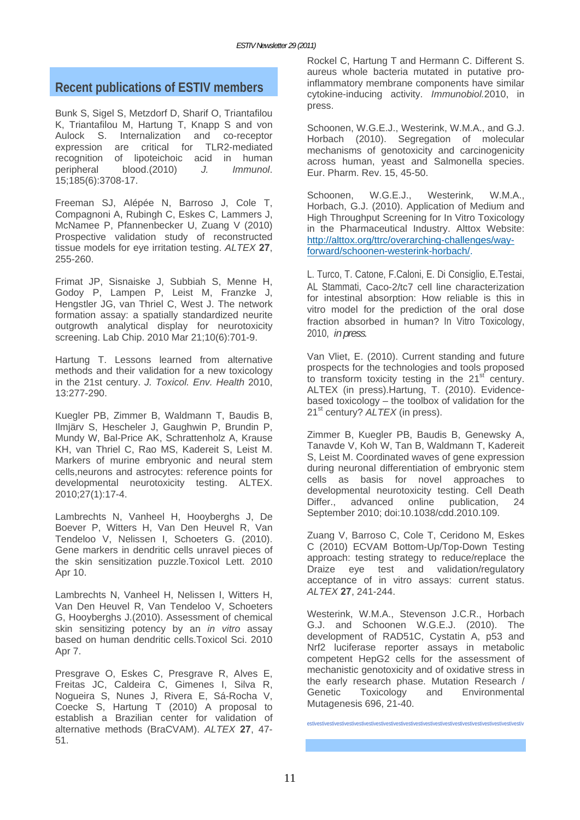# **Recent publications of ESTIV members**

Bunk S, Sigel S, Metzdorf D, Sharif O, Triantafilou K, Triantafilou M, Hartung T, Knapp S and von Aulock S. Internalization and co-receptor expression are critical for TLR2-mediated recognition of lipoteichoic acid in human peripheral blood.(2010) *J. Immunol*. 15;185(6):3708-17.

Freeman SJ, Alépée N, Barroso J, Cole T, Compagnoni A, Rubingh C, Eskes C, Lammers J, McNamee P, Pfannenbecker U, Zuang V (2010) Prospective validation study of reconstructed tissue models for eye irritation testing. *ALTEX* **27**, 255-260.

Frimat JP, Sisnaiske J, Subbiah S, Menne H, Godoy P, Lampen P, Leist M, Franzke J, Hengstler JG, van Thriel C, West J. The network formation assay: a spatially standardized neurite outgrowth analytical display for neurotoxicity screening. Lab Chip. 2010 Mar 21;10(6):701-9.

Hartung T. Lessons learned from alternative methods and their validation for a new toxicology in the 21st century. *J. Toxicol. Env. Health* 2010, 13:277-290.

Kuegler PB, Zimmer B, Waldmann T, Baudis B, Ilmjärv S, Hescheler J, Gaughwin P, Brundin P, Mundy W, Bal-Price AK, Schrattenholz A, Krause KH, van Thriel C, Rao MS, Kadereit S, Leist M. Markers of murine embryonic and neural stem cells,neurons and astrocytes: reference points for developmental neurotoxicity testing. ALTEX. 2010;27(1):17-4.

Lambrechts N, Vanheel H, Hooyberghs J, De Boever P, Witters H, Van Den Heuvel R, Van Tendeloo V, Nelissen I, Schoeters G. (2010). Gene markers in dendritic cells unravel pieces of the skin sensitization puzzle.Toxicol Lett. 2010 Apr 10.

Lambrechts N, Vanheel H, Nelissen I, Witters H, Van Den Heuvel R, Van Tendeloo V, Schoeters G, Hooyberghs J.(2010). Assessment of chemical skin sensitizing potency by an *in vitro* assay based on human dendritic cells.Toxicol Sci. 2010 Apr 7.

Presgrave O, Eskes C, Presgrave R, Alves E, Freitas JC, Caldeira C, Gimenes I, Silva R, Nogueira S, Nunes J, Rivera E, Sá-Rocha V, Coecke S, Hartung T (2010) A proposal to establish a Brazilian center for validation of alternative methods (BraCVAM). *ALTEX* **27**, 47- 51.

Rockel C, Hartung T and Hermann C. Different S. aureus whole bacteria mutated in putative proinflammatory membrane components have similar cytokine-inducing activity. *Immunobiol.*2010, in press.

Schoonen, W.G.E.J., Westerink, W.M.A., and G.J. Horbach (2010). Segregation of molecular mechanisms of genotoxicity and carcinogenicity across human, yeast and Salmonella species. Eur. Pharm. Rev. 15, 45-50.

Schoonen, W.G.E.J., Westerink, W.M.A., Horbach, G.J. (2010). Application of Medium and High Throughput Screening for In Vitro Toxicology in the Pharmaceutical Industry. Alttox Website: http://alttox.org/ttrc/overarching-challenges/wayforward/schoonen-westerink-horbach/.

L. Turco, T. Catone, F.Caloni, E. Di Consiglio, E.Testai, AL Stammati, Caco-2/tc7 cell line characterization for intestinal absorption: How reliable is this in vitro model for the prediction of the oral dose fraction absorbed in human? In Vitro Toxicology, 2010, *in press.*

Van Vliet, E. (2010). Current standing and future prospects for the technologies and tools proposed to transform toxicity testing in the  $21<sup>st</sup>$  century. ALTEX (in press).Hartung, T. (2010). Evidencebased toxicology – the toolbox of validation for the 21<sup>st</sup> century? *ALTEX* (in press).

Zimmer B, Kuegler PB, Baudis B, Genewsky A, Tanavde V, Koh W, Tan B, Waldmann T, Kadereit S, Leist M. Coordinated waves of gene expression during neuronal differentiation of embryonic stem cells as basis for novel approaches to developmental neurotoxicity testing. Cell Death Differ., advanced online publication, 24 September 2010; doi:10.1038/cdd.2010.109.

Zuang V, Barroso C, Cole T, Ceridono M, Eskes C (2010) ECVAM Bottom-Up/Top-Down Testing approach: testing strategy to reduce/replace the Draize eye test and validation/regulatory acceptance of in vitro assays: current status. *ALTEX* **27**, 241-244.

Westerink, W.M.A., Stevenson J.C.R., Horbach G.J. and Schoonen W.G.E.J. (2010). The development of RAD51C, Cystatin A, p53 and Nrf2 luciferase reporter assays in metabolic competent HepG2 cells for the assessment of mechanistic genotoxicity and of oxidative stress in the early research phase. Mutation Research / Genetic Toxicology and Environmental Mutagenesis 696, 21-40.

estivestivestivestivestivestivestivestivestivestivestivestivestivestivestivestivestivestivestivestivestivestiv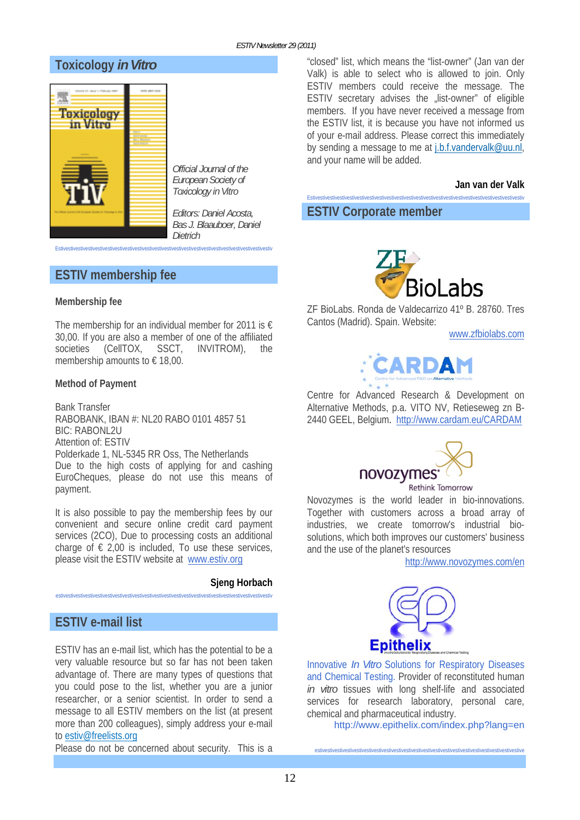# **Toxicology** *in Vitro*



*Official Journal of the European Society of Toxicology in Vitro* 

*Editors: Daniel Acosta, Bas J. Blaauboer, Daniel Dietrich* 

**ESTIV membership fee** 

#### **Membership fee**

The membership for an individual member for 2011 is  $\epsilon$ 30,00. If you are also a member of one of the affiliated societies (CellTOX, SSCT, INVITROM), the membership amounts to  $\in$  18,00.

Estivestivestivestivestivestivestivestivestivestivestivestivestivestivestivestivestivestivestivestivestivestiv

#### **Method of Payment**

Bank Transfer RABOBANK, IBAN #: NL20 RABO 0101 4857 51 BIC: RABONL2U Attention of: ESTIV Polderkade 1, NL-5345 RR Oss, The Netherlands Due to the high costs of applying for and cashing EuroCheques, please do not use this means of payment.

It is also possible to pay the membership fees by our convenient and secure online credit card payment services (2CO), Due to processing costs an additional charge of  $\epsilon$  2,00 is included, To use these services, please visit the ESTIV website at www.estiv.org

#### **Sjeng Horbach**

estivestivestivestivestivestivestivestivestivestivestivestivestivestivestivestivestivestivestivestivestivestiv

# **ESTIV e-mail list**

ESTIV has an e-mail list, which has the potential to be a very valuable resource but so far has not been taken advantage of. There are many types of questions that you could pose to the list, whether you are a junior researcher, or a senior scientist. In order to send a message to all ESTIV members on the list (at present more than 200 colleagues), simply address your e-mail to estiv@freelists.org

Please do not be concerned about security. This is a

"closed" list, which means the "list-owner" (Jan van der Valk) is able to select who is allowed to join. Only ESTIV members could receive the message. The ESTIV secretary advises the "list-owner" of eligible members. If you have never received a message from the ESTIV list, it is because you have not informed us of your e-mail address. Please correct this immediately by sending a message to me at j.b.f.vandervalk@uu.nl, and your name will be added.

#### **Jan van der Valk**

Estivestivestivestivestivestivestivestivestivestivestivestivestivestivestivestivestivestivestivestivestivestiv

# **ESTIV Corporate member**



ZF BioLabs. Ronda de Valdecarrizo 41º B. 28760. Tres Cantos (Madrid). Spain. Website:

www.zfbiolabs.com



Centre for Advanced Research & Development on Alternative Methods, p.a. VITO NV, Retieseweg zn B-2440 GEEL, Belgium. http://www.cardam.eu/CARDAM



Novozymes is the world leader in bio-innovations. Together with customers across a broad array of industries, we create tomorrow's industrial biosolutions, which both improves our customers' business and the use of the planet's resources

http://www.novozymes.com/en



Innovative *In Vitro* Solutions for Respiratory Diseases and Chemical Testing. Provider of reconstituted human *in vitro* tissues with long shelf-life and associated services for research laboratory, personal care, chemical and pharmaceutical industry.

estivestivestivestivestivestivestivestivestivestivestivestivestivestivestivestivestivestivestivestivestive

http://www.epithelix.com/index.php?lang=en